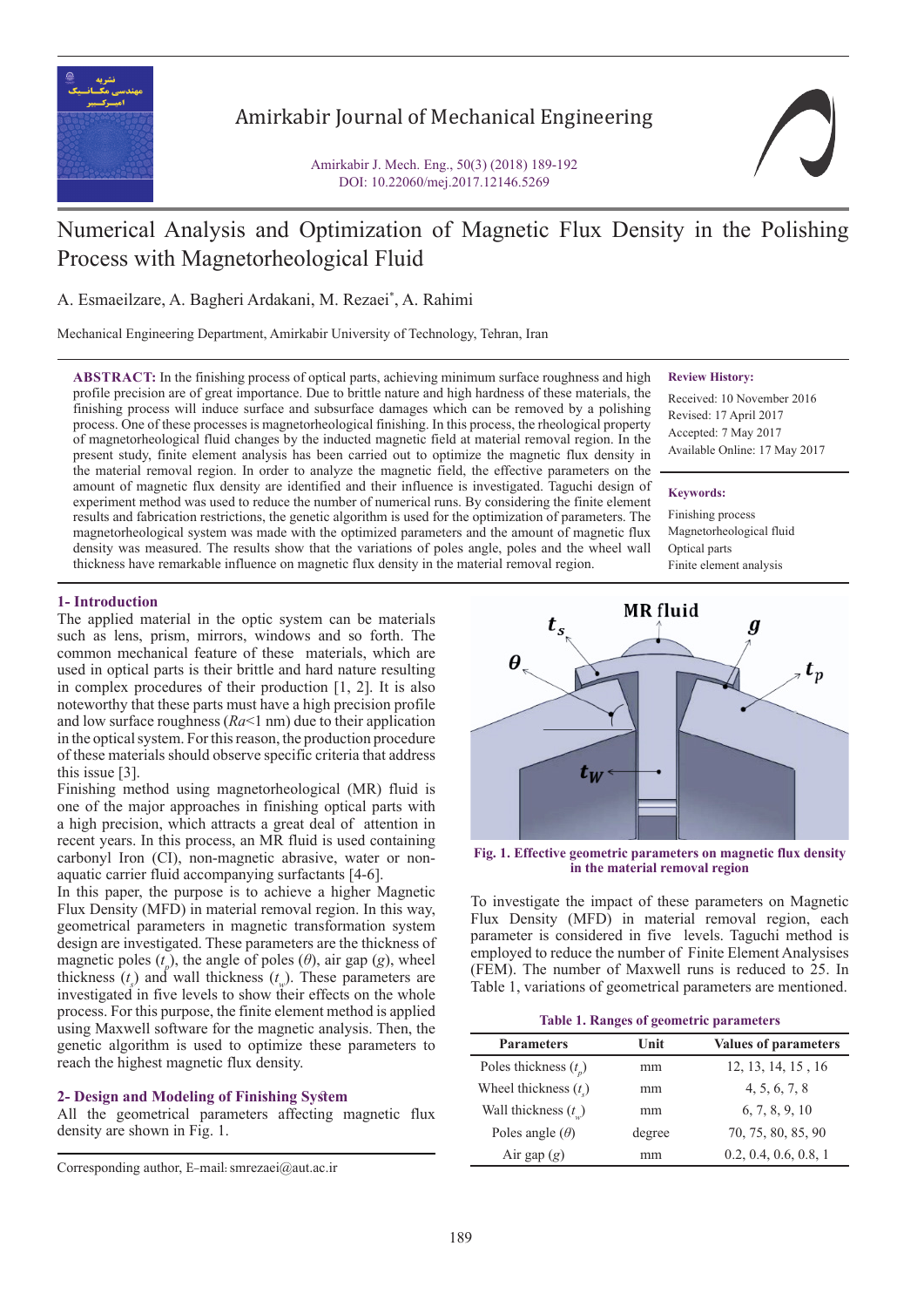

# Amirkabir Journal of Mechanical Engineering

Amirkabir J. Mech. Eng., 50(3) (2018) 189-192 DOI: 10.22060/mej.2017.12146.5269



# Numerical Analysis and Optimization of Magnetic Flux Density in the Polishing Process with Magnetorheological Fluid

A. Esmaeilzare, A. Bagheri Ardakani, M. Rezaei\* , A. Rahimi

Mechanical Engineering Department, Amirkabir University of Technology, Tehran, Iran

**ABSTRACT:** In the finishing process of optical parts, achieving minimum surface roughness and high profile precision are of great importance. Due to brittle nature and high hardness of these materials, the finishing process will induce surface and subsurface damages which can be removed by a polishing process. One of these processes is magnetorheological finishing. In this process, the rheological property of magnetorheological fluid changes by the inducted magnetic field at material removal region. In the present study, finite element analysis has been carried out to optimize the magnetic flux density in the material removal region. In order to analyze the magnetic field, the effective parameters on the amount of magnetic flux density are identified and their influence is investigated. Taguchi design of experiment method was used to reduce the number of numerical runs. By considering the finite element results and fabrication restrictions, the genetic algorithm is used for the optimization of parameters. The magnetorheological system was made with the optimized parameters and the amount of magnetic flux density was measured. The results show that the variations of poles angle, poles and the wheel wall thickness have remarkable influence on magnetic flux density in the material removal region.

#### **Review History:**

Received: 10 November 2016 Revised: 17 April 2017 Accepted: 7 May 2017 Available Online: 17 May 2017

#### **Keywords:**

Finishing process Magnetorheological fluid Optical parts Finite element analysis

## **1- Introduction**

The applied material in the optic system can be materials such as lens, prism, mirrors, windows and so forth. The common mechanical feature of these materials, which are used in optical parts is their brittle and hard nature resulting in complex procedures of their production [1, 2]. It is also noteworthy that these parts must have a high precision profile and low surface roughness  $(Ra<1$  nm) due to their application in the optical system. For this reason, the production procedure of these materials should observe specific criteria that address this issue [3].

Finishing method using magnetorheological (MR) fluid is one of the major approaches in finishing optical parts with a high precision, which attracts a great deal of attention in recent years. In this process, an MR fluid is used containing carbonyl Iron (CI), non-magnetic abrasive, water or nonaquatic carrier fluid accompanying surfactants [4-6].

In this paper, the purpose is to achieve a higher Magnetic Flux Density (MFD) in material removal region. In this way, geometrical parameters in magnetic transformation system design are investigated. These parameters are the thickness of magnetic poles  $(t_n)$ , the angle of poles  $(\theta)$ , air gap  $(g)$ , wheel thickness  $(t_s)$  and wall thickness  $(t_s)$ . These parameters are investigated in five levels to show their effects on the whole process. For this purpose, the finite element method is applied using Maxwell software for the magnetic analysis. Then, the genetic algorithm is used to optimize these parameters to reach the highest magnetic flux density.

### **2- Design and Modeling of Finishing System**

All the geometrical parameters affecting magnetic flux density are shown in Fig. 1.

Corresponding author, E-mail: smrezaei@aut.ac.ir



**Fig. 1. Effective geometric parameters on magnetic flux density in the material removal region**

To investigate the impact of these parameters on Magnetic Flux Density (MFD) in material removal region, each parameter is considered in five levels. Taguchi method is employed to reduce the number of Finite Element Analysises (FEM). The number of Maxwell runs is reduced to 25. In Table 1, variations of geometrical parameters are mentioned.

**Table 1. Ranges of geometric parameters**

| <b>Parameters</b>             | Unit   | <b>Values of parameters</b> |
|-------------------------------|--------|-----------------------------|
| Poles thickness $(t_n)$       | mm     | 12, 13, 14, 15, 16          |
| Wheel thickness $(ts)$        | mm     | 4, 5, 6, 7, 8               |
| Wall thickness $(t_{\omega})$ | mm     | 6, 7, 8, 9, 10              |
| Poles angle $(\theta)$        | degree | 70, 75, 80, 85, 90          |
| Air gap $(g)$                 | mm     | 0.2, 0.4, 0.6, 0.8, 1       |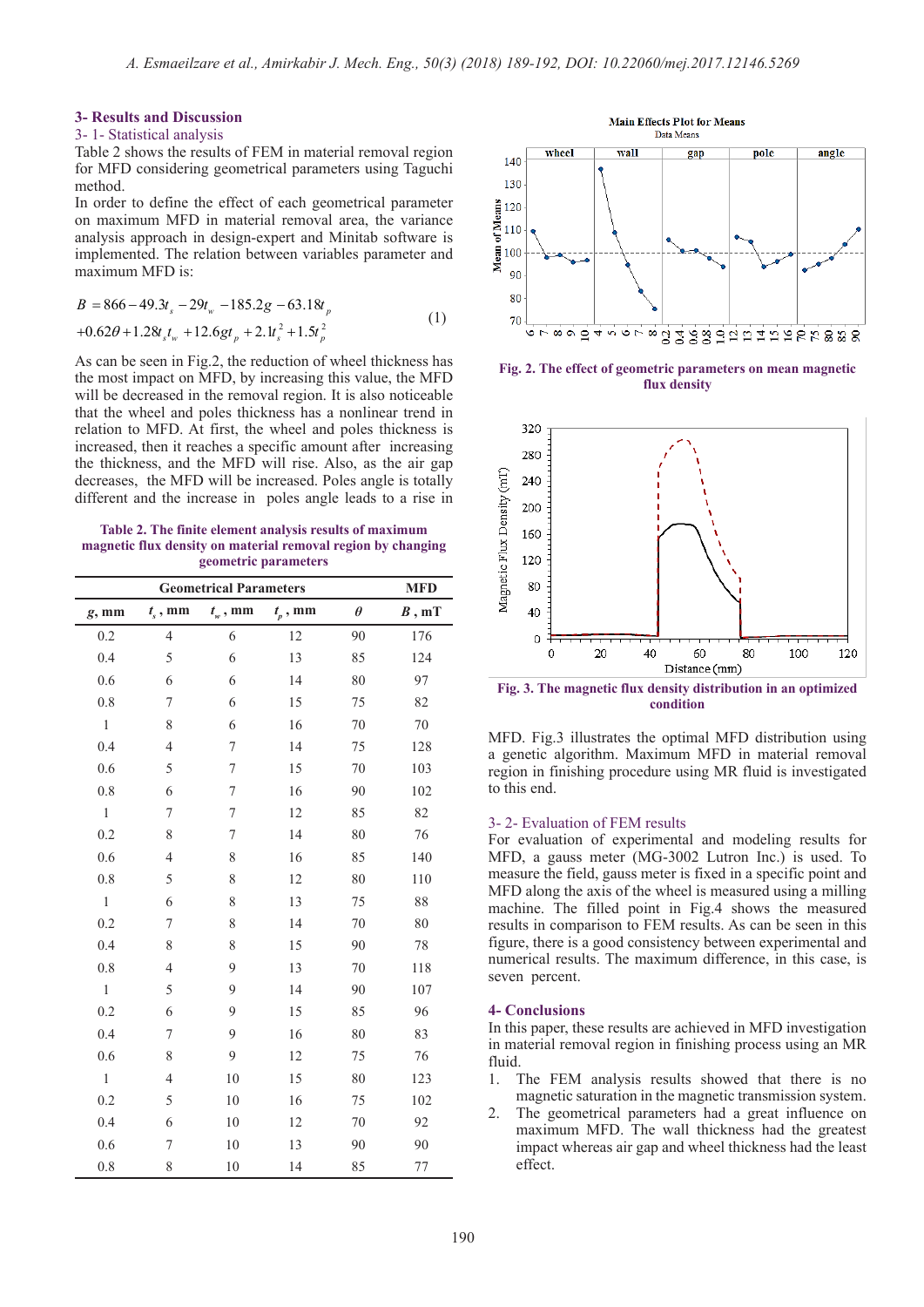#### **3- Results and Discussion**

#### 3- 1- Statistical analysis

Table 2 shows the results of FEM in material removal region for MFD considering geometrical parameters using Taguchi method.

In order to define the effect of each geometrical parameter on maximum MFD in material removal area, the variance analysis approach in design-expert and Minitab software is implemented. The relation between variables parameter and maximum MFD is:

$$
B = 866 - 49.3t_s - 29t_w - 185.2g - 63.18t_p
$$
  
+0.62 $\theta$ +1.28t<sub>s</sub>t<sub>w</sub> +12.6gt<sub>p</sub> +2.1t<sub>s</sub><sup>2</sup>+1.5t<sub>p</sub><sup>2</sup> (1)

As can be seen in Fig.2, the reduction of wheel thickness has the most impact on MFD, by increasing this value, the MFD will be decreased in the removal region. It is also noticeable that the wheel and poles thickness has a nonlinear trend in relation to MFD. At first, the wheel and poles thickness is increased, then it reaches a specific amount after increasing the thickness, and the MFD will rise. Also, as the air gap decreases, the MFD will be increased. Poles angle is totally different and the increase in poles angle leads to a rise in

**Table 2. The finite element analysis results of maximum magnetic flux density on material removal region by changing geometric parameters**

| <b>Geometrical Parameters</b> |                  |                  |              |          | <b>MFD</b> |
|-------------------------------|------------------|------------------|--------------|----------|------------|
| $g$ , mm                      | $t_{s}$ , mm     | $t_{w}$ , mm     | $t_{p}$ , mm | $\theta$ | B, mT      |
| 0.2                           | $\overline{4}$   | 6                | 12           | 90       | 176        |
| 0.4                           | 5                | 6                | 13           | 85       | 124        |
| 0.6                           | 6                | 6                | 14           | 80       | 97         |
| 0.8                           | 7                | 6                | 15           | 75       | 82         |
| $\,1\,$                       | 8                | 6                | 16           | $70\,$   | 70         |
| 0.4                           | $\overline{4}$   | 7                | 14           | 75       | 128        |
| 0.6                           | 5                | $\boldsymbol{7}$ | 15           | $70\,$   | 103        |
| $0.8\,$                       | 6                | 7                | 16           | 90       | 102        |
| $\,1\,$                       | $\boldsymbol{7}$ | 7                | 12           | 85       | 82         |
| 0.2                           | 8                | 7                | 14           | 80       | 76         |
| 0.6                           | $\overline{4}$   | 8                | 16           | 85       | 140        |
| 0.8                           | 5                | 8                | 12           | 80       | 110        |
| $\,1\,$                       | 6                | 8                | 13           | 75       | 88         |
| 0.2                           | 7                | 8                | 14           | 70       | 80         |
| 0.4                           | 8                | 8                | 15           | 90       | 78         |
| 0.8                           | $\overline{4}$   | 9                | 13           | 70       | 118        |
| $\mathbf{1}$                  | 5                | 9                | 14           | 90       | 107        |
| 0.2                           | 6                | 9                | 15           | 85       | 96         |
| 0.4                           | 7                | 9                | 16           | 80       | 83         |
| 0.6                           | 8                | 9                | 12           | 75       | 76         |
| $\,1\,$                       | 4                | 10               | 15           | 80       | 123        |
| 0.2                           | 5                | 10               | 16           | 75       | 102        |
| 0.4                           | 6                | 10               | 12           | $70\,$   | 92         |
| 0.6                           | 7                | 10               | 13           | 90       | 90         |
| 0.8                           | 8                | $10\,$           | 14           | 85       | $77 \,$    |



**Fig. 2. The effect of geometric parameters on mean magnetic flux density**



**Fig. 3. The magnetic flux density distribution in an optimized condition**

MFD. Fig.3 illustrates the optimal MFD distribution using a genetic algorithm. Maximum MFD in material removal region in finishing procedure using MR fluid is investigated to this end.

#### 3- 2- Evaluation of FEM results

For evaluation of experimental and modeling results for MFD, a gauss meter (MG-3002 Lutron Inc.) is used. To measure the field, gauss meter is fixed in a specific point and MFD along the axis of the wheel is measured using a milling machine. The filled point in Fig.4 shows the measured results in comparison to FEM results. As can be seen in this figure, there is a good consistency between experimental and numerical results. The maximum difference, in this case, is seven percent.

#### **4- Conclusions**

In this paper, these results are achieved in MFD investigation in material removal region in finishing process using an MR fluid.

- 1. The FEM analysis results showed that there is no magnetic saturation in the magnetic transmission system.
- 2. The geometrical parameters had a great influence on maximum MFD. The wall thickness had the greatest impact whereas air gap and wheel thickness had the least effect.